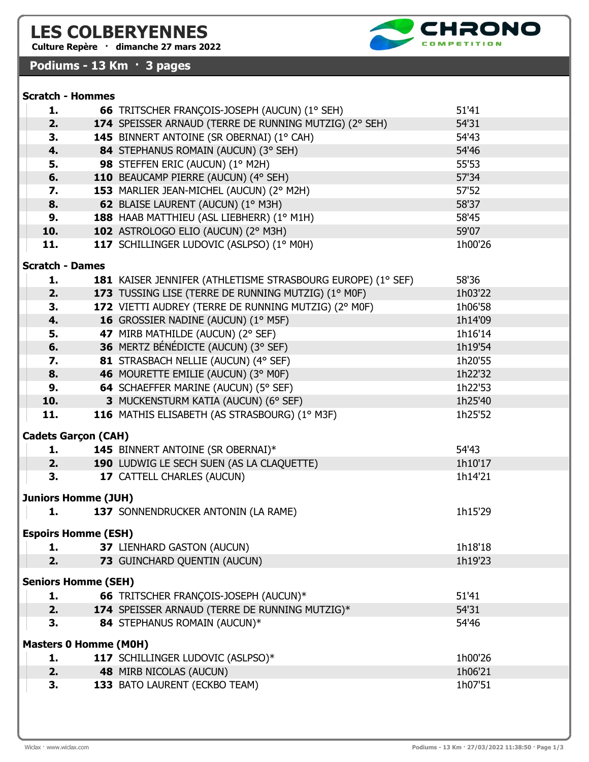# LES COLBERYENNES

Culture Repère · dimanche 27 mars 2022

Scratch - Hommes

## Podiums - 13 Km · 3 pages

| 4.                     | 84 STEPHANUS ROMAIN (AUCUN) (3° SEH)                        | 54'46   |
|------------------------|-------------------------------------------------------------|---------|
| 5.                     | 98 STEFFEN ERIC (AUCUN) (1° M2H)                            | 55'53   |
| 6.                     | 110 BEAUCAMP PIERRE (AUCUN) (4° SEH)                        | 57'34   |
| 7.                     | 153 MARLIER JEAN-MICHEL (AUCUN) (2° M2H)                    | 57'52   |
| 8.                     | 62 BLAISE LAURENT (AUCUN) (1° M3H)                          | 58'37   |
| 9.                     | 188 HAAB MATTHIEU (ASL LIEBHERR) (1º M1H)                   | 58'45   |
| 10.                    | 102 ASTROLOGO ELIO (AUCUN) (2° M3H)                         | 59'07   |
| 11.                    | 117 SCHILLINGER LUDOVIC (ASLPSO) (1º MOH)                   | 1h00'26 |
| <b>Scratch - Dames</b> |                                                             |         |
| 1.                     | 181 KAISER JENNIFER (ATHLETISME STRASBOURG EUROPE) (1° SEF) | 58'36   |
| 2.                     | 173 TUSSING LISE (TERRE DE RUNNING MUTZIG) (1° MOF)         | 1h03'22 |
| 3.                     | 172 VIETTI AUDREY (TERRE DE RUNNING MUTZIG) (2° MOF)        | 1h06'58 |
| 4.                     | 16 GROSSIER NADINE (AUCUN) (1° M5F)                         | 1h14'09 |
| 5.                     | 47 MIRB MATHILDE (AUCUN) (2° SEF)                           | 1h16'14 |
| 6.                     | 36 MERTZ BÉNÉDICTE (AUCUN) (3° SEF)                         | 1h19'54 |
| 7.                     | 81 STRASBACH NELLIE (AUCUN) (4° SEF)                        | 1h20'55 |
| 8.                     | 46 MOURETTE EMILIE (AUCUN) (3° MOF)                         | 1h22'32 |
| 9.                     | 64 SCHAEFFER MARINE (AUCUN) (5° SEF)                        | 1h22'53 |
| 10.                    | 3 MUCKENSTURM KATIA (AUCUN) (6° SEF)                        | 1h25'40 |
| 11.                    | 116 MATHIS ELISABETH (AS STRASBOURG) (1º M3F)               | 1h25'52 |

1. 66 TRITSCHER FRANÇOIS-JOSEPH (AUCUN) (1° SEH) 51'41 2. 174 SPEISSER ARNAUD (TERRE DE RUNNING MUTZIG) (2° SEH) 54'31 **3. 145** BINNERT ANTOINE (SR OBERNAI) (1° CAH) 54'43

### Cadets Garçon (CAH)

|    | <b>145 BINNERT ANTOINE (SR OBERNAI)*</b>         | 54'43   |  |  |
|----|--------------------------------------------------|---------|--|--|
|    | <b>190 LUDWIG LE SECH SUEN (AS LA CLAQUETTE)</b> | 1h10'17 |  |  |
| З. | <b>17 CATTELL CHARLES (AUCUN)</b>                | 1h14'21 |  |  |
| -- | ------                                           |         |  |  |

#### Juniors Homme (JUH)

| 137 SONNENDRUCKER ANTONIN (LA RAME) | 1h15'29 |
|-------------------------------------|---------|
| <b>Espoirs Homme (ESH)</b>          |         |

| <b>73 GUINCHARD QUENTIN (AUCUN)</b><br>1h19'23 |  |
|------------------------------------------------|--|

#### Seniors Homme (SEH)

|                              | ı.     |  | <b>66 TRITSCHER FRANÇOIS-JOSEPH (AUCUN)*</b>   | 51'41   |
|------------------------------|--------|--|------------------------------------------------|---------|
|                              | 2.     |  | 174 SPEISSER ARNAUD (TERRE DE RUNNING MUTZIG)* | 54'31   |
|                              | З.     |  | 84 STEPHANUS ROMAIN (AUCUN)*                   | 54'46   |
| <b>Masters 0 Homme (M0H)</b> |        |  |                                                |         |
|                              | ı.     |  | 117 SCHILLINGER LUDOVIC (ASLPSO)*              | 1h00'26 |
|                              | $\sim$ |  | $\overline{AB}$ MIDD MIGOLAG (ALLOLIAI)        | 1100121 |

**2.** 48 MIRB NICOLAS (AUCUN) **1h06'21** 3. 133 BATO LAURENT (ECKBO TEAM) 1h07'51

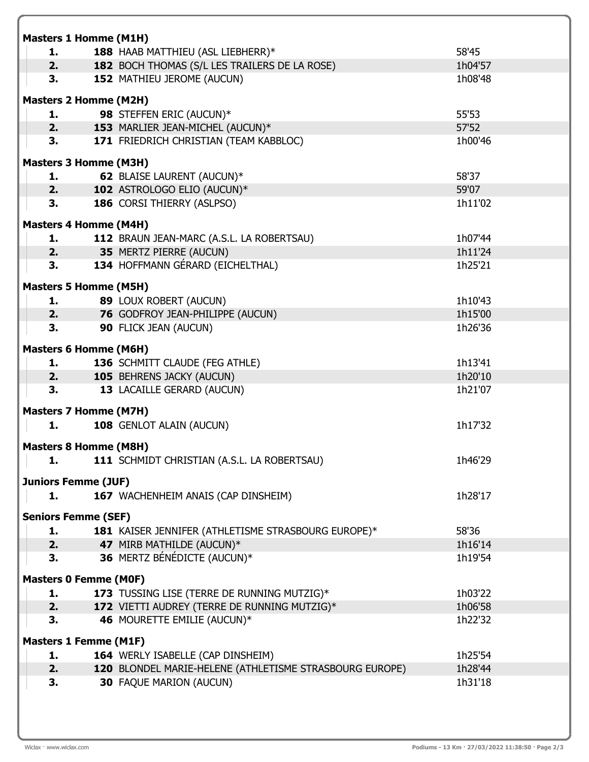| <b>Masters 1 Homme (M1H)</b>       |                                                         |         |  |
|------------------------------------|---------------------------------------------------------|---------|--|
| 1.                                 | 188 HAAB MATTHIEU (ASL LIEBHERR)*                       | 58'45   |  |
| 2.                                 | 182 BOCH THOMAS (S/L LES TRAILERS DE LA ROSE)           | 1h04'57 |  |
| 3.                                 | 152 MATHIEU JEROME (AUCUN)                              | 1h08'48 |  |
| <b>Masters 2 Homme (M2H)</b>       |                                                         |         |  |
| 1.                                 | 98 STEFFEN ERIC (AUCUN)*                                | 55'53   |  |
| 2.                                 | 153 MARLIER JEAN-MICHEL (AUCUN)*                        | 57'52   |  |
| 3.                                 | 171 FRIEDRICH CHRISTIAN (TEAM KABBLOC)                  | 1h00'46 |  |
|                                    |                                                         |         |  |
| <b>Masters 3 Homme (M3H)</b>       |                                                         |         |  |
| 1.                                 | 62 BLAISE LAURENT (AUCUN)*                              | 58'37   |  |
| 2.7 <sub>2</sub>                   | 102 ASTROLOGO ELIO (AUCUN)*                             | 59'07   |  |
| 3.                                 | 186 CORSI THIERRY (ASLPSO)                              | 1h11'02 |  |
| <b>Masters 4 Homme (M4H)</b>       |                                                         |         |  |
| 1.                                 | 112 BRAUN JEAN-MARC (A.S.L. LA ROBERTSAU)               | 1h07'44 |  |
| 2.                                 | 35 MERTZ PIERRE (AUCUN)                                 | 1h11'24 |  |
| 3.                                 | 134 HOFFMANN GÉRARD (EICHELTHAL)                        | 1h25'21 |  |
|                                    |                                                         |         |  |
| <b>Masters 5 Homme (M5H)</b><br>1. | 89 LOUX ROBERT (AUCUN)                                  | 1h10'43 |  |
| 2.                                 | 76 GODFROY JEAN-PHILIPPE (AUCUN)                        | 1h15'00 |  |
| 3.                                 | 90 FLICK JEAN (AUCUN)                                   | 1h26'36 |  |
|                                    |                                                         |         |  |
| <b>Masters 6 Homme (M6H)</b>       |                                                         |         |  |
| 1.                                 | 136 SCHMITT CLAUDE (FEG ATHLE)                          | 1h13'41 |  |
| 2.                                 | 105 BEHRENS JACKY (AUCUN)                               | 1h20'10 |  |
| 3.                                 | 13 LACAILLE GERARD (AUCUN)                              | 1h21'07 |  |
| <b>Masters 7 Homme (M7H)</b>       |                                                         |         |  |
| 1.                                 | 108 GENLOT ALAIN (AUCUN)                                | 1h17'32 |  |
|                                    |                                                         |         |  |
| <b>Masters 8 Homme (M8H)</b>       |                                                         |         |  |
| 1.                                 | 111 SCHMIDT CHRISTIAN (A.S.L. LA ROBERTSAU)             | 1h46'29 |  |
| <b>Juniors Femme (JUF)</b>         |                                                         |         |  |
| 1.                                 | 167 WACHENHEIM ANAIS (CAP DINSHEIM)                     | 1h28'17 |  |
|                                    |                                                         |         |  |
| <b>Seniors Femme (SEF)</b>         |                                                         |         |  |
| 1.                                 | 181 KAISER JENNIFER (ATHLETISME STRASBOURG EUROPE)*     | 58'36   |  |
| 2.                                 | 47 MIRB MATHILDE (AUCUN)*                               | 1h16'14 |  |
| 3.                                 | 36 MERTZ BÉNÉDICTE (AUCUN)*                             | 1h19'54 |  |
| <b>Masters 0 Femme (MOF)</b>       |                                                         |         |  |
| 1.                                 | 173 TUSSING LISE (TERRE DE RUNNING MUTZIG)*             | 1h03'22 |  |
| 2.                                 | 172 VIETTI AUDREY (TERRE DE RUNNING MUTZIG)*            | 1h06'58 |  |
| 3.                                 | 46 MOURETTE EMILIE (AUCUN)*                             | 1h22'32 |  |
|                                    |                                                         |         |  |
| <b>Masters 1 Femme (M1F)</b><br>1. | 164 WERLY ISABELLE (CAP DINSHEIM)                       | 1h25'54 |  |
| 2.                                 | 120 BLONDEL MARIE-HELENE (ATHLETISME STRASBOURG EUROPE) | 1h28'44 |  |
| 3.                                 | <b>30 FAQUE MARION (AUCUN)</b>                          | 1h31'18 |  |
|                                    |                                                         |         |  |